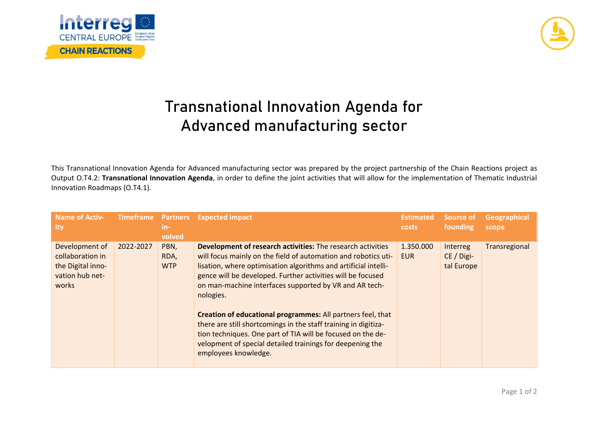



## **Transnational Innovation Agenda for Advanced manufacturing sector**

This Transnational Innovation Agenda for Advanced manufacturing sector was prepared by the project partnership of the Chain Reactions project as Output O.T4.2: **Transnational Innovation Agenda**, in order to define the joint activities that will allow for the implementation of Thematic Industrial Innovation Roadmaps (O.T4.1).

| <b>Name of Activ-</b><br><b>ity</b>                                                 | <b>Timeframe</b> | <b>Partners</b><br>in-<br>volved | <b>Expected impact</b>                                                                                                                                                                                                                                                                                                                                                                                                                                                                                                                                                                                                       | <b>Estimated</b><br><b>costs</b> | Source of<br>founding                         | Geographical<br>scope |
|-------------------------------------------------------------------------------------|------------------|----------------------------------|------------------------------------------------------------------------------------------------------------------------------------------------------------------------------------------------------------------------------------------------------------------------------------------------------------------------------------------------------------------------------------------------------------------------------------------------------------------------------------------------------------------------------------------------------------------------------------------------------------------------------|----------------------------------|-----------------------------------------------|-----------------------|
| Development of<br>collaboration in<br>the Digital inno-<br>vation hub net-<br>works | 2022-2027        | PBN,<br>RDA,<br><b>WTP</b>       | Development of research activities: The research activities<br>will focus mainly on the field of automation and robotics uti-<br>lisation, where optimisation algorithms and artificial intelli-<br>gence will be developed. Further activities will be focused<br>on man-machine interfaces supported by VR and AR tech-<br>nologies.<br>Creation of educational programmes: All partners feel, that<br>there are still shortcomings in the staff training in digitiza-<br>tion techniques. One part of TIA will be focused on the de-<br>velopment of special detailed trainings for deepening the<br>employees knowledge. | 1.350.000<br><b>EUR</b>          | <b>Interreg</b><br>$CE / Dig -$<br>tal Europe | Transregional         |